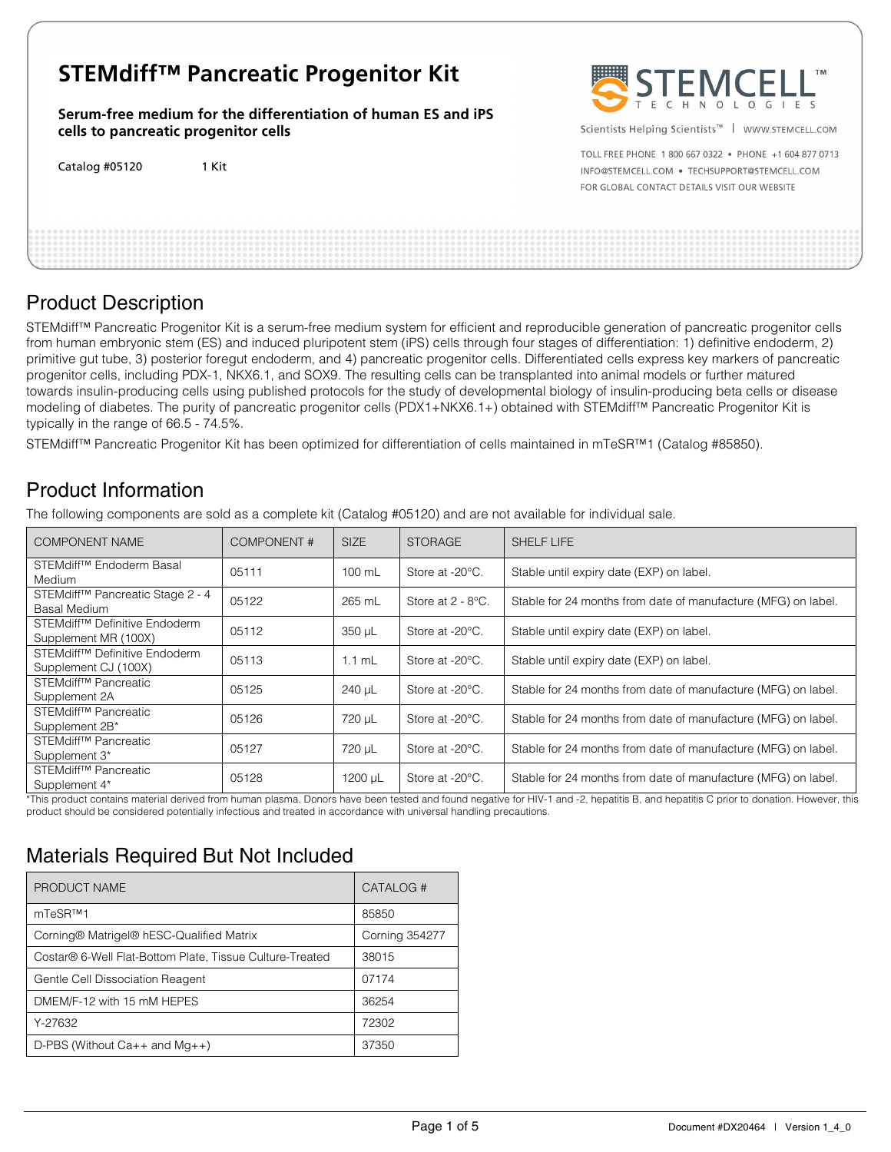# **STEMdiff™ Pancreatic Progenitor Kit**

**Serum-free medium for the differentiation of human ES and iPS cells to pancreatic progenitor cells** 

Catalog #05120 1 Kit



Scientists Helping Scientists™ | WWW.STEMCELL.COM

TOLL FREE PHONE 1 800 667 0322 . PHONE +1 604 877 0713 INFO@STEMCELL.COM . TECHSUPPORT@STEMCELL.COM FOR GLOBAL CONTACT DETAILS VISIT OUR WEBSITE

# Product Description

STEMdiff™ Pancreatic Progenitor Kit is a serum-free medium system for efficient and reproducible generation of pancreatic progenitor cells from human embryonic stem (ES) and induced pluripotent stem (iPS) cells through four stages of differentiation: 1) definitive endoderm, 2) primitive gut tube, 3) posterior foregut endoderm, and 4) pancreatic progenitor cells. Differentiated cells express key markers of pancreatic progenitor cells, including PDX-1, NKX6.1, and SOX9. The resulting cells can be transplanted into animal models or further matured towards insulin-producing cells using published protocols for the study of developmental biology of insulin-producing beta cells or disease modeling of diabetes. The purity of pancreatic progenitor cells (PDX1+NKX6.1+) obtained with STEMdiff™ Pancreatic Progenitor Kit is typically in the range of 66.5 - 74.5%.

STEMdiff™ Pancreatic Progenitor Kit has been optimized for differentiation of cells maintained in mTeSR™1 (Catalog #85850).

# Product Information

The following components are sold as a complete kit (Catalog #05120) and are not available for individual sale.

| <b>COMPONENT NAME</b>                                             | <b>COMPONENT#</b> | <b>SIZE</b>      | <b>STORAGE</b>            | <b>SHELF LIFE</b>                                             |
|-------------------------------------------------------------------|-------------------|------------------|---------------------------|---------------------------------------------------------------|
| STEMdiff <sup>™</sup> Endoderm Basal<br><b>Medium</b>             | 05111             | $100 \text{ mL}$ | Store at -20°C.           | Stable until expiry date (EXP) on label.                      |
| STEM diff™ Pancreatic Stage 2 - 4<br>Basal Medium                 | 05122             | 265 mL           | Store at $2 - 8$ °C.      | Stable for 24 months from date of manufacture (MFG) on label. |
| STEMdiff <sup>™</sup> Definitive Endoderm<br>Supplement MR (100X) | 05112             | 350 µL           | Store at -20°C.           | Stable until expiry date (EXP) on label.                      |
| STEMdiff <sup>™</sup> Definitive Endoderm<br>Supplement CJ (100X) | 05113             | $1.1$ mL         | Store at $-20^{\circ}$ C. | Stable until expiry date (EXP) on label.                      |
| STEMdiff <sup>™</sup> Pancreatic<br>Supplement 2A                 | 05125             | 240 µL           | Store at -20°C.           | Stable for 24 months from date of manufacture (MFG) on label. |
| STEMdiff <sup>™</sup> Pancreatic<br>Supplement 2B*                | 05126             | 720 µL           | Store at -20°C.           | Stable for 24 months from date of manufacture (MFG) on label. |
| STEMdiff <sup>™</sup> Pancreatic<br>Supplement 3*                 | 05127             | 720 µL           | Store at -20°C.           | Stable for 24 months from date of manufacture (MFG) on label. |
| STEMdiff <sup>™</sup> Pancreatic<br>Supplement 4*                 | 05128             | 1200 µL          | Store at -20°C.           | Stable for 24 months from date of manufacture (MFG) on label. |

\*This product contains material derived from human plasma. Donors have been tested and found negative for HIV-1 and -2, hepatitis B, and hepatitis C prior to donation. However, this product should be considered potentially infectious and treated in accordance with universal handling precautions.

## Materials Required But Not Included

| PRODUCT NAME                                             | CATALOG #             |
|----------------------------------------------------------|-----------------------|
| mTeSR™1                                                  | 85850                 |
| Corning® Matrigel® hESC-Qualified Matrix                 | <b>Corning 354277</b> |
| Costar® 6-Well Flat-Bottom Plate, Tissue Culture-Treated | 38015                 |
| Gentle Cell Dissociation Reagent                         | 07174                 |
| DMEM/F-12 with 15 mM HEPES                               | 36254                 |
| Y-27632                                                  | 72302                 |
| D-PBS (Without $Ca++$ and $Mq++$ )                       | 37350                 |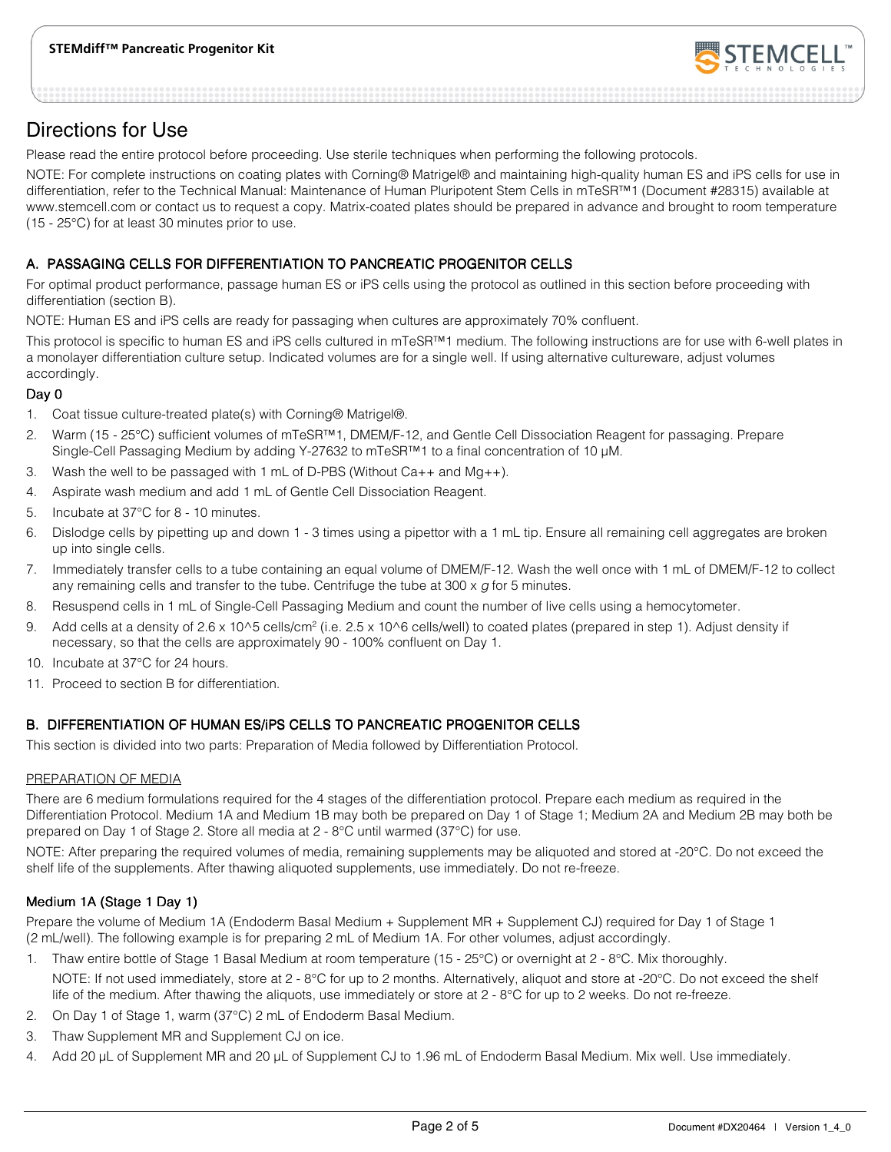

### Directions for Use

Please read the entire protocol before proceeding. Use sterile techniques when performing the following protocols.

NOTE: For complete instructions on coating plates with Corning® Matrigel® and maintaining high-quality human ES and iPS cells for use in differentiation, refer to the Technical Manual: Maintenance of Human Pluripotent Stem Cells in mTeSR™1 (Document #28315) available at www.stemcell.com or contact us to request a copy. Matrix-coated plates should be prepared in advance and brought to room temperature (15 - 25°C) for at least 30 minutes prior to use.

#### A. PASSAGING CELLS FOR DIFFERENTIATION TO PANCREATIC PROGENITOR CELLS

For optimal product performance, passage human ES or iPS cells using the protocol as outlined in this section before proceeding with differentiation (section B).

NOTE: Human ES and iPS cells are ready for passaging when cultures are approximately 70% confluent.

This protocol is specific to human ES and iPS cells cultured in mTeSR™1 medium. The following instructions are for use with 6-well plates in a monolayer differentiation culture setup. Indicated volumes are for a single well. If using alternative cultureware, adjust volumes accordingly.

#### Day 0

- 1. Coat tissue culture-treated plate(s) with Corning® Matrigel®.
- 2. Warm (15 25°C) sufficient volumes of mTeSR™1, DMEM/F-12, and Gentle Cell Dissociation Reagent for passaging. Prepare Single-Cell Passaging Medium by adding Y-27632 to mTeSR™1 to a final concentration of 10 µM.
- 3. Wash the well to be passaged with 1 mL of D-PBS (Without  $Ca++$  and  $Mg++$ ).
- 4. Aspirate wash medium and add 1 mL of Gentle Cell Dissociation Reagent.
- 5. Incubate at 37°C for 8 10 minutes.
- 6. Dislodge cells by pipetting up and down 1 3 times using a pipettor with a 1 mL tip. Ensure all remaining cell aggregates are broken up into single cells.
- 7. Immediately transfer cells to a tube containing an equal volume of DMEM/F-12. Wash the well once with 1 mL of DMEM/F-12 to collect any remaining cells and transfer to the tube. Centrifuge the tube at  $300 \times g$  for 5 minutes.
- 8. Resuspend cells in 1 mL of Single-Cell Passaging Medium and count the number of live cells using a hemocytometer.
- 9. Add cells at a density of 2.6 x 10^5 cells/cm<sup>2</sup> (i.e. 2.5 x 10^6 cells/well) to coated plates (prepared in step 1). Adjust density if necessary, so that the cells are approximately 90 - 100% confluent on Day 1.
- 10. Incubate at 37°C for 24 hours.
- 11. Proceed to section B for differentiation.

#### B. DIFFERENTIATION OF HUMAN ES/IPS CELLS TO PANCREATIC PROGENITOR CELLS

This section is divided into two parts: Preparation of Media followed by Differentiation Protocol.

#### PREPARATION OF MEDIA

There are 6 medium formulations required for the 4 stages of the differentiation protocol. Prepare each medium as required in the Differentiation Protocol. Medium 1A and Medium 1B may both be prepared on Day 1 of Stage 1; Medium 2A and Medium 2B may both be prepared on Day 1 of Stage 2. Store all media at 2 - 8°C until warmed (37°C) for use.

NOTE: After preparing the required volumes of media, remaining supplements may be aliquoted and stored at -20°C. Do not exceed the shelf life of the supplements. After thawing aliquoted supplements, use immediately. Do not re-freeze.

#### Medium 1A (Stage 1 Day 1)

Prepare the volume of Medium 1A (Endoderm Basal Medium + Supplement MR + Supplement CJ) required for Day 1 of Stage 1 (2 mL/well). The following example is for preparing 2 mL of Medium 1A. For other volumes, adjust accordingly.

1. Thaw entire bottle of Stage 1 Basal Medium at room temperature (15 - 25°C) or overnight at 2 - 8°C. Mix thoroughly.

NOTE: If not used immediately, store at 2 - 8°C for up to 2 months. Alternatively, aliquot and store at -20°C. Do not exceed the shelf life of the medium. After thawing the aliquots, use immediately or store at 2 - 8°C for up to 2 weeks. Do not re-freeze.

- 2. On Day 1 of Stage 1, warm (37°C) 2 mL of Endoderm Basal Medium.
- 3. Thaw Supplement MR and Supplement CJ on ice.
- 4. Add 20 µL of Supplement MR and 20 µL of Supplement CJ to 1.96 mL of Endoderm Basal Medium. Mix well. Use immediately.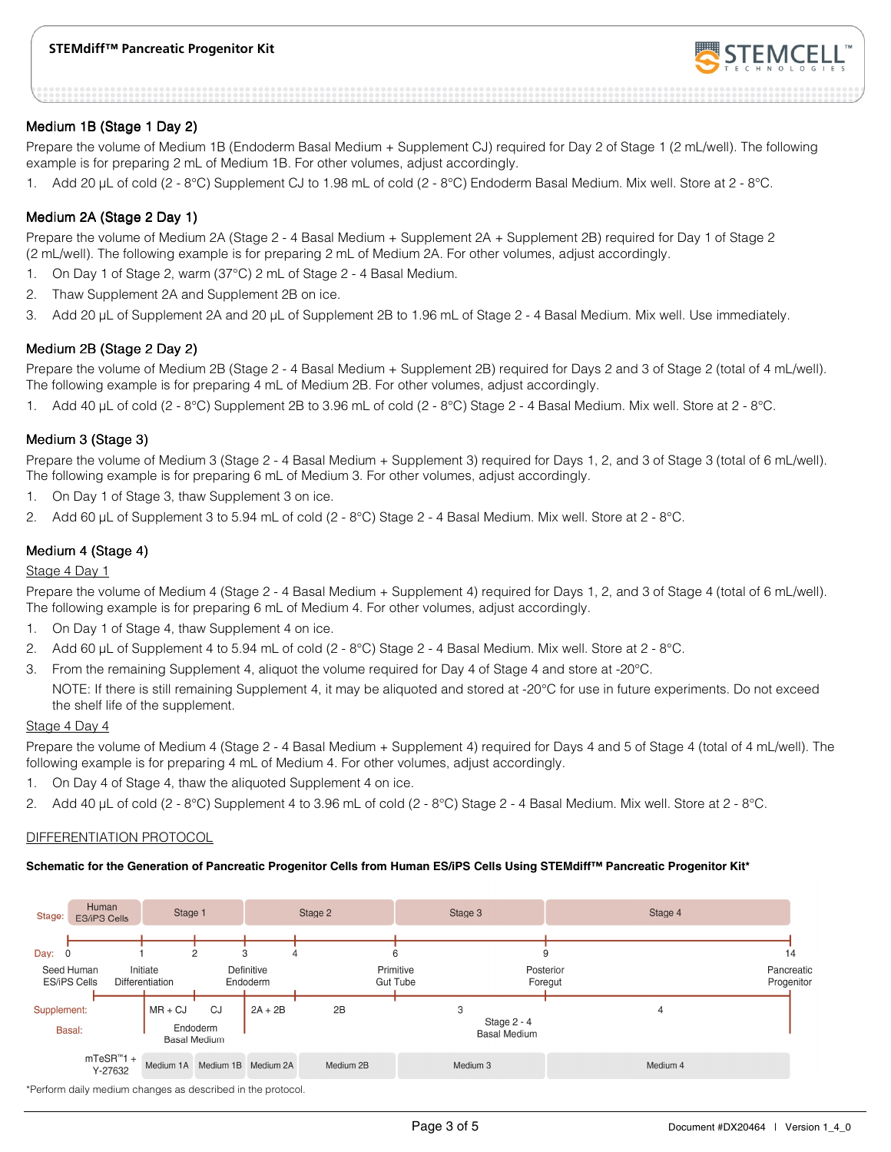

#### Medium 1B (Stage 1 Day 2)

Prepare the volume of Medium 1B (Endoderm Basal Medium + Supplement CJ) required for Day 2 of Stage 1 (2 mL/well). The following example is for preparing 2 mL of Medium 1B. For other volumes, adjust accordingly.

1. Add 20 µL of cold (2 - 8°C) Supplement CJ to 1.98 mL of cold (2 - 8°C) Endoderm Basal Medium. Mix well. Store at 2 - 8°C.

#### Medium 2A (Stage 2 Day 1)

Prepare the volume of Medium 2A (Stage 2 - 4 Basal Medium + Supplement 2A + Supplement 2B) required for Day 1 of Stage 2 (2 mL/well). The following example is for preparing 2 mL of Medium 2A. For other volumes, adjust accordingly.

- 1. On Day 1 of Stage 2, warm (37°C) 2 mL of Stage 2 4 Basal Medium.
- 2. Thaw Supplement 2A and Supplement 2B on ice.
- 3. Add 20 µL of Supplement 2A and 20 µL of Supplement 2B to 1.96 mL of Stage 2 4 Basal Medium. Mix well. Use immediately.

#### Medium 2B (Stage 2 Day 2)

Prepare the volume of Medium 2B (Stage 2 - 4 Basal Medium + Supplement 2B) required for Days 2 and 3 of Stage 2 (total of 4 mL/well). The following example is for preparing 4 mL of Medium 2B. For other volumes, adjust accordingly.

1. Add 40 µL of cold (2 - 8°C) Supplement 2B to 3.96 mL of cold (2 - 8°C) Stage 2 - 4 Basal Medium. Mix well. Store at 2 - 8°C.

#### Medium 3 (Stage 3)

Prepare the volume of Medium 3 (Stage 2 - 4 Basal Medium + Supplement 3) required for Days 1, 2, and 3 of Stage 3 (total of 6 mL/well). The following example is for preparing 6 mL of Medium 3. For other volumes, adjust accordingly.

- 1. On Day 1 of Stage 3, thaw Supplement 3 on ice.
- 2. Add 60 µL of Supplement 3 to 5.94 mL of cold (2 8°C) Stage 2 4 Basal Medium. Mix well. Store at 2 8°C.

#### Medium 4 (Stage 4)

#### Stage 4 Day 1

Prepare the volume of Medium 4 (Stage 2 - 4 Basal Medium + Supplement 4) required for Days 1, 2, and 3 of Stage 4 (total of 6 mL/well). The following example is for preparing 6 mL of Medium 4. For other volumes, adjust accordingly.

- 1. On Day 1 of Stage 4, thaw Supplement 4 on ice.
- 2. Add 60 µL of Supplement 4 to 5.94 mL of cold (2 8°C) Stage 2 4 Basal Medium. Mix well. Store at 2 8°C.
- 3. From the remaining Supplement 4, aliquot the volume required for Day 4 of Stage 4 and store at -20°C.

NOTE: If there is still remaining Supplement 4, it may be aliquoted and stored at -20°C for use in future experiments. Do not exceed the shelf life of the supplement.

#### Stage 4 Day 4

Prepare the volume of Medium 4 (Stage 2 - 4 Basal Medium + Supplement 4) required for Days 4 and 5 of Stage 4 (total of 4 mL/well). The following example is for preparing 4 mL of Medium 4. For other volumes, adjust accordingly.

- 1. On Day 4 of Stage 4, thaw the aliquoted Supplement 4 on ice.
- 2. Add 40 µL of cold (2 8°C) Supplement 4 to 3.96 mL of cold (2 8°C) Stage 2 4 Basal Medium. Mix well. Store at 2 8°C.

#### DIFFERENTIATION PROTOCOL

#### **Schematic for the Generation of Pancreatic Progenitor Cells from Human ES/iPS Cells Using STEMdiff™ Pancreatic Progenitor Kit\***

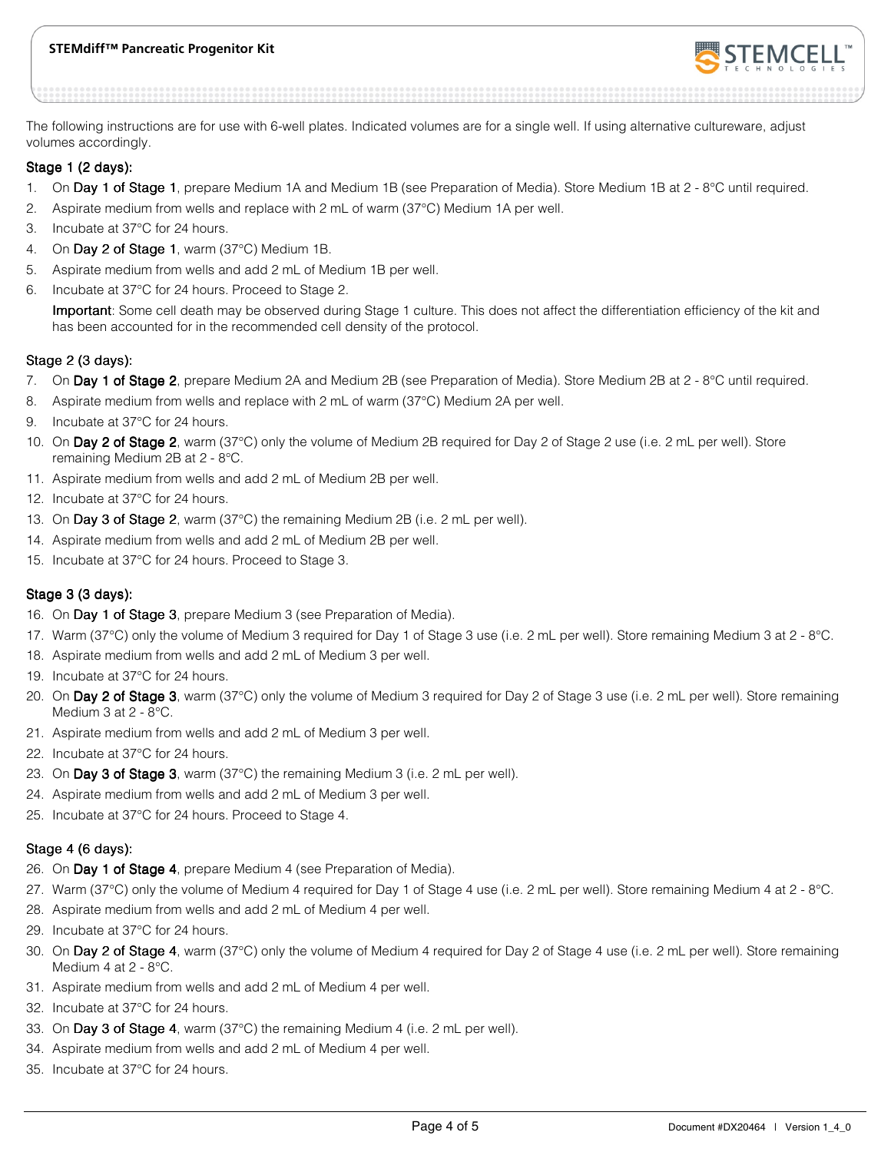#### **STEMdiff™ Pancreatic Progenitor Kit**



The following instructions are for use with 6-well plates. Indicated volumes are for a single well. If using alternative cultureware, adjust volumes accordingly.

#### Stage 1 (2 days):

- 1. On Day 1 of Stage 1, prepare Medium 1A and Medium 1B (see Preparation of Media). Store Medium 1B at  $2 \cdot 8^{\circ}$ C until required.
- 2. Aspirate medium from wells and replace with 2 mL of warm (37°C) Medium 1A per well.
- 3. Incubate at 37°C for 24 hours.
- 4. On Day 2 of Stage 1, warm (37 $^{\circ}$ C) Medium 1B.
- 5. Aspirate medium from wells and add 2 mL of Medium 1B per well.
- 6. Incubate at 37°C for 24 hours. Proceed to Stage 2.

Important: Some cell death may be observed during Stage 1 culture. This does not affect the differentiation efficiency of the kit and has been accounted for in the recommended cell density of the protocol.

#### Stage 2 (3 days):

- 7. On Day 1 of Stage 2, prepare Medium 2A and Medium 2B (see Preparation of Media). Store Medium 2B at 2 8°C until required.
- 8. Aspirate medium from wells and replace with 2 mL of warm (37°C) Medium 2A per well.
- 9. Incubate at 37°C for 24 hours.
- 10. On Day 2 of Stage 2, warm (37°C) only the volume of Medium 2B required for Day 2 of Stage 2 use (i.e. 2 mL per well). Store remaining Medium 2B at 2 - 8°C.
- 11. Aspirate medium from wells and add 2 mL of Medium 2B per well.
- 12. Incubate at 37°C for 24 hours.
- 13. On Day 3 of Stage 2, warm (37 $^{\circ}$ C) the remaining Medium 2B (i.e. 2 mL per well).
- 14. Aspirate medium from wells and add 2 mL of Medium 2B per well.
- 15. Incubate at 37°C for 24 hours. Proceed to Stage 3.

#### Stage  $3$  (3 days):

- 16. On Day 1 of Stage 3, prepare Medium 3 (see Preparation of Media).
- 17. Warm (37°C) only the volume of Medium 3 required for Day 1 of Stage 3 use (i.e. 2 mL per well). Store remaining Medium 3 at 2 8°C.
- 18. Aspirate medium from wells and add 2 mL of Medium 3 per well.
- 19. Incubate at 37°C for 24 hours.
- 20. On Day 2 of Stage 3, warm (37°C) only the volume of Medium 3 required for Day 2 of Stage 3 use (i.e. 2 mL per well). Store remaining Medium 3 at 2 - 8°C.
- 21. Aspirate medium from wells and add 2 mL of Medium 3 per well.
- 22. Incubate at 37°C for 24 hours.
- 23. On Day 3 of Stage 3, warm (37°C) the remaining Medium 3 (i.e. 2 mL per well).
- 24. Aspirate medium from wells and add 2 mL of Medium 3 per well.
- 25. Incubate at 37°C for 24 hours. Proceed to Stage 4.

#### Stage 4  $(6$  days):

- 26. On Day 1 of Stage 4, prepare Medium 4 (see Preparation of Media).
- 27. Warm (37°C) only the volume of Medium 4 required for Day 1 of Stage 4 use (i.e. 2 mL per well). Store remaining Medium 4 at 2 8°C.
- 28. Aspirate medium from wells and add 2 mL of Medium 4 per well.
- 29. Incubate at 37°C for 24 hours.
- 30. On Day 2 of Stage 4, warm (37°C) only the volume of Medium 4 required for Day 2 of Stage 4 use (i.e. 2 mL per well). Store remaining Medium 4 at 2 - 8°C.
- 31. Aspirate medium from wells and add 2 mL of Medium 4 per well.
- 32. Incubate at 37°C for 24 hours.
- 33. On Day 3 of Stage 4, warm (37 $^{\circ}$ C) the remaining Medium 4 (i.e. 2 mL per well).
- 34. Aspirate medium from wells and add 2 mL of Medium 4 per well.
- 35. Incubate at 37°C for 24 hours.